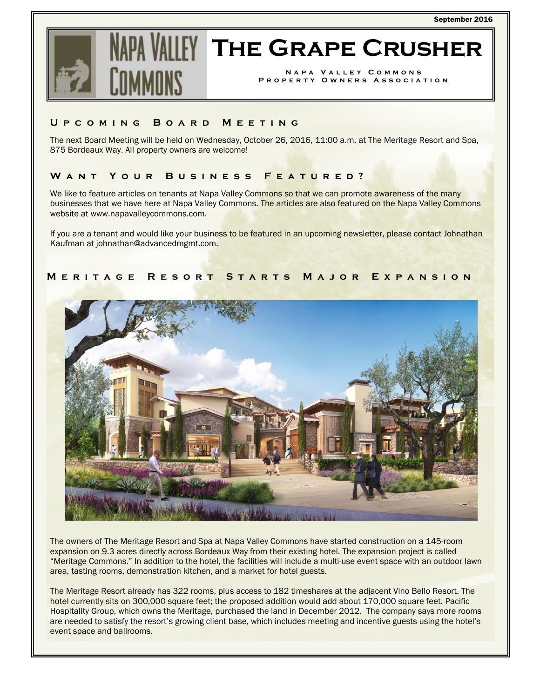

# **The Grape Crusher**

**Napa Valley Commons Property Owners Association** 

### **Upcoming Board Meeting**

The next Board Meeting will be held on Wednesday, October 26, 2016, 11:00 a.m. at The Meritage Resort and Spa, 875 Bordeaux Way. All property owners are welcome!

### **Want Your Business Featured?**

We like to feature articles on tenants at Napa Valley Commons so that we can promote awareness of the many businesses that we have here at Napa Valley Commons. The articles are also featured on the Napa Valley Commons website at www.napavalleycommons.com.

If you are a tenant and would like your business to be featured in an upcoming newsletter, please contact Johnathan Kaufman at johnathan@advancedmgmt.com.

## **Meritage Resort Starts Major Expansion**



The owners of The Meritage Resort and Spa at Napa Valley Commons have started construction on a 145-room expansion on 9.3 acres directly across Bordeaux Way from their existing hotel. The expansion project is called "Meritage Commons." In addition to the hotel, the facilities will include a multi-use event space with an outdoor lawn area, tasting rooms, demonstration kitchen, and a market for hotel guests.

The Meritage Resort already has 322 rooms, plus access to 182 timeshares at the adjacent Vino Bello Resort. The hotel currently sits on 300,000 square feet; the proposed addition would add about 170,000 square feet. Pacific Hospitality Group, which owns the Meritage, purchased the land in December 2012. The company says more rooms are needed to satisfy the resort's growing client base, which includes meeting and incentive guests using the hotel's event space and ballrooms.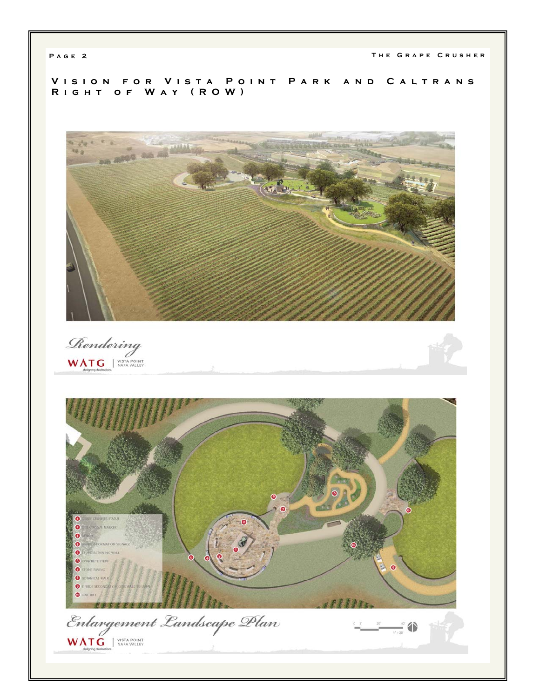PAGE 2 THE GRAPE CRUSHER

**Vision for Vista Point Park and Caltrans Right of Way (ROW)** 



Rendering WATG WISTA POINT

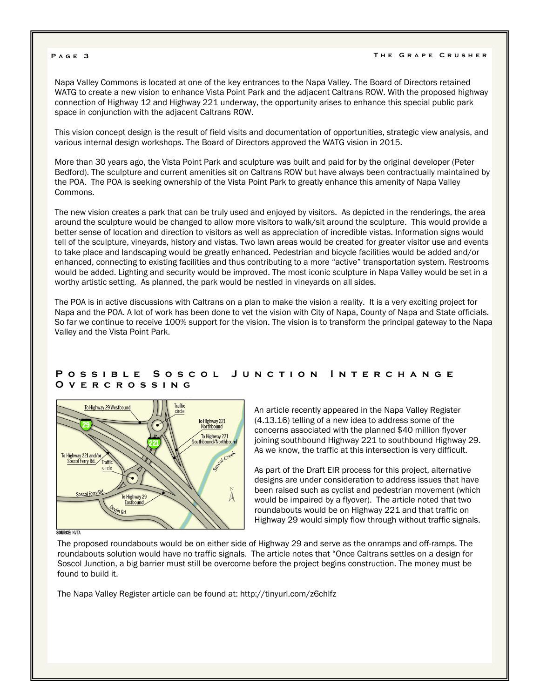#### **Page 3 The Grape Crusher**

Napa Valley Commons is located at one of the key entrances to the Napa Valley. The Board of Directors retained WATG to create a new vision to enhance Vista Point Park and the adjacent Caltrans ROW. With the proposed highway connection of Highway 12 and Highway 221 underway, the opportunity arises to enhance this special public park space in conjunction with the adjacent Caltrans ROW.

This vision concept design is the result of field visits and documentation of opportunities, strategic view analysis, and various internal design workshops. The Board of Directors approved the WATG vision in 2015.

More than 30 years ago, the Vista Point Park and sculpture was built and paid for by the original developer (Peter Bedford). The sculpture and current amenities sit on Caltrans ROW but have always been contractually maintained by the POA. The POA is seeking ownership of the Vista Point Park to greatly enhance this amenity of Napa Valley Commons.

The new vision creates a park that can be truly used and enjoyed by visitors. As depicted in the renderings, the area around the sculpture would be changed to allow more visitors to walk/sit around the sculpture. This would provide a better sense of location and direction to visitors as well as appreciation of incredible vistas. Information signs would tell of the sculpture, vineyards, history and vistas. Two lawn areas would be created for greater visitor use and events to take place and landscaping would be greatly enhanced. Pedestrian and bicycle facilities would be added and/or enhanced, connecting to existing facilities and thus contributing to a more "active" transportation system. Restrooms would be added. Lighting and security would be improved. The most iconic sculpture in Napa Valley would be set in a worthy artistic setting. As planned, the park would be nestled in vineyards on all sides.

The POA is in active discussions with Caltrans on a plan to make the vision a reality. It is a very exciting project for Napa and the POA. A lot of work has been done to vet the vision with City of Napa, County of Napa and State officials. So far we continue to receive 100% support for the vision. The vision is to transform the principal gateway to the Napa Valley and the Vista Point Park.

#### **Possible Soscol Junction Interchange Overcrossing**



An article recently appeared in the Napa Valley Register (4.13.16) telling of a new idea to address some of the concerns associated with the planned \$40 million flyover joining southbound Highway 221 to southbound Highway 29. As we know, the traffic at this intersection is very difficult.

As part of the Draft EIR process for this project, alternative designs are under consideration to address issues that have been raised such as cyclist and pedestrian movement (which would be impaired by a flyover). The article noted that two roundabouts would be on Highway 221 and that traffic on Highway 29 would simply flow through without traffic signals.

The proposed roundabouts would be on either side of Highway 29 and serve as the onramps and off-ramps. The roundabouts solution would have no traffic signals. The article notes that "Once Caltrans settles on a design for Soscol Junction, a big barrier must still be overcome before the project begins construction. The money must be found to build it.

The Napa Valley Register article can be found at: http://tinyurl.com/z6chlfz